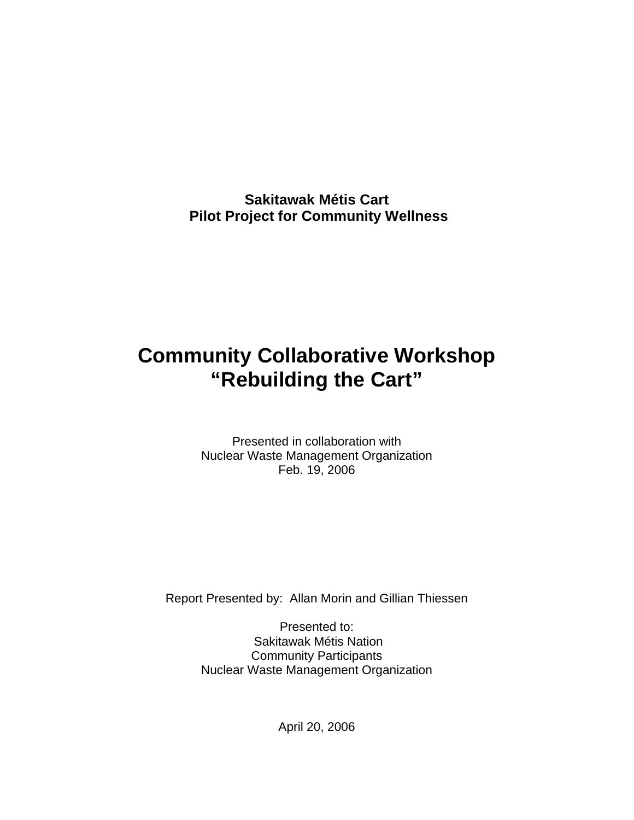**Sakitawak Métis Cart Pilot Project for Community Wellness** 

# **Community Collaborative Workshop "Rebuilding the Cart"**

Presented in collaboration with Nuclear Waste Management Organization Feb. 19, 2006

Report Presented by: Allan Morin and Gillian Thiessen

Presented to: Sakitawak Métis Nation Community Participants Nuclear Waste Management Organization

April 20, 2006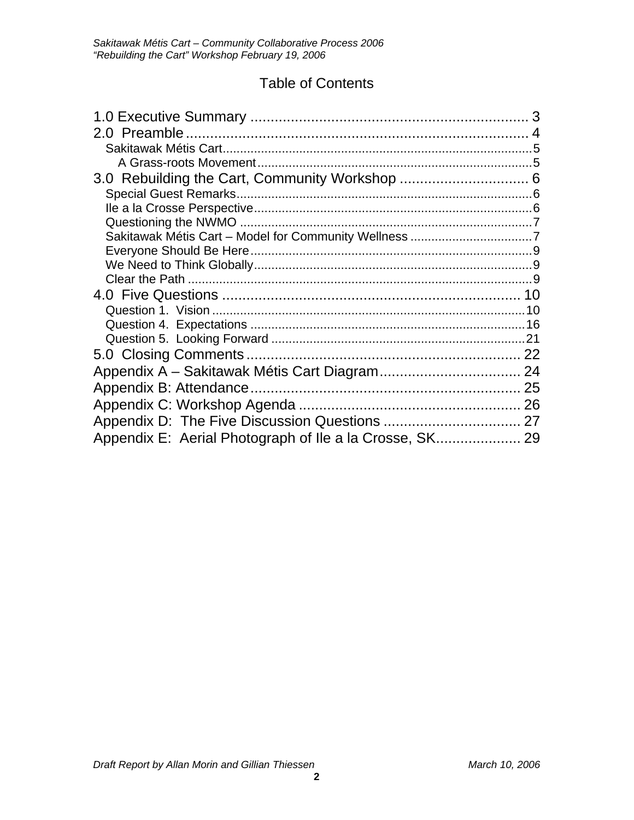## Table of Contents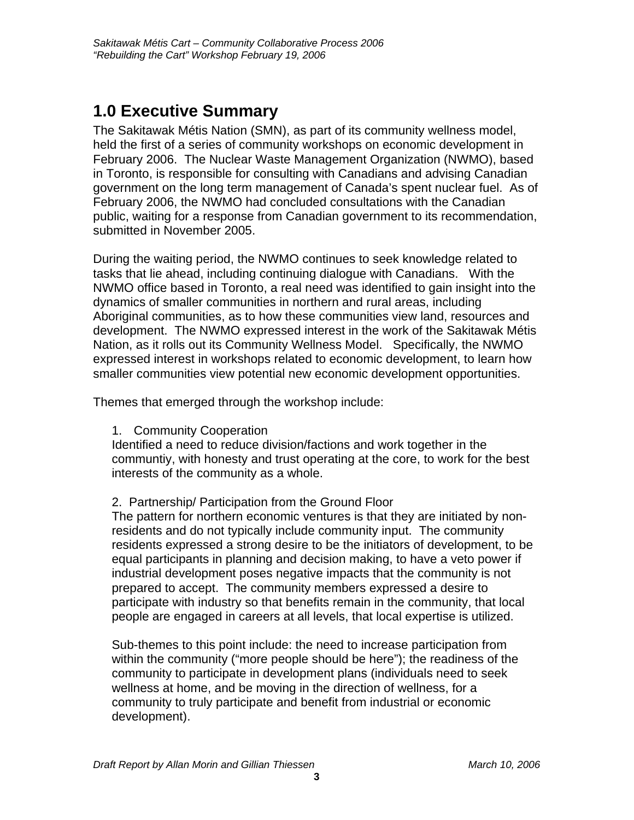## <span id="page-2-0"></span>**1.0 Executive Summary**

The Sakitawak Métis Nation (SMN), as part of its community wellness model, held the first of a series of community workshops on economic development in February 2006. The Nuclear Waste Management Organization (NWMO), based in Toronto, is responsible for consulting with Canadians and advising Canadian government on the long term management of Canada's spent nuclear fuel. As of February 2006, the NWMO had concluded consultations with the Canadian public, waiting for a response from Canadian government to its recommendation, submitted in November 2005.

During the waiting period, the NWMO continues to seek knowledge related to tasks that lie ahead, including continuing dialogue with Canadians. With the NWMO office based in Toronto, a real need was identified to gain insight into the dynamics of smaller communities in northern and rural areas, including Aboriginal communities, as to how these communities view land, resources and development. The NWMO expressed interest in the work of the Sakitawak Métis Nation, as it rolls out its Community Wellness Model. Specifically, the NWMO expressed interest in workshops related to economic development, to learn how smaller communities view potential new economic development opportunities.

Themes that emerged through the workshop include:

1. Community Cooperation

Identified a need to reduce division/factions and work together in the communtiy, with honesty and trust operating at the core, to work for the best interests of the community as a whole.

2. Partnership/ Participation from the Ground Floor

The pattern for northern economic ventures is that they are initiated by nonresidents and do not typically include community input. The community residents expressed a strong desire to be the initiators of development, to be equal participants in planning and decision making, to have a veto power if industrial development poses negative impacts that the community is not prepared to accept. The community members expressed a desire to participate with industry so that benefits remain in the community, that local people are engaged in careers at all levels, that local expertise is utilized.

Sub-themes to this point include: the need to increase participation from within the community ("more people should be here"); the readiness of the community to participate in development plans (individuals need to seek wellness at home, and be moving in the direction of wellness, for a community to truly participate and benefit from industrial or economic development).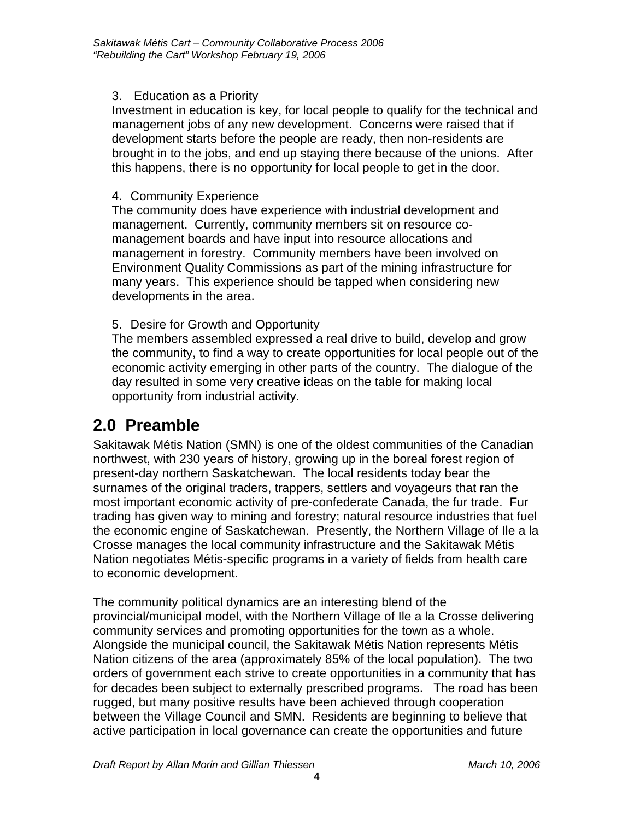#### <span id="page-3-0"></span>3. Education as a Priority

Investment in education is key, for local people to qualify for the technical and management jobs of any new development. Concerns were raised that if development starts before the people are ready, then non-residents are brought in to the jobs, and end up staying there because of the unions. After this happens, there is no opportunity for local people to get in the door.

#### 4. Community Experience

The community does have experience with industrial development and management. Currently, community members sit on resource comanagement boards and have input into resource allocations and management in forestry. Community members have been involved on Environment Quality Commissions as part of the mining infrastructure for many years. This experience should be tapped when considering new developments in the area.

#### 5. Desire for Growth and Opportunity

The members assembled expressed a real drive to build, develop and grow the community, to find a way to create opportunities for local people out of the economic activity emerging in other parts of the country. The dialogue of the day resulted in some very creative ideas on the table for making local opportunity from industrial activity.

## **2.0 Preamble**

Sakitawak Métis Nation (SMN) is one of the oldest communities of the Canadian northwest, with 230 years of history, growing up in the boreal forest region of present-day northern Saskatchewan. The local residents today bear the surnames of the original traders, trappers, settlers and voyageurs that ran the most important economic activity of pre-confederate Canada, the fur trade. Fur trading has given way to mining and forestry; natural resource industries that fuel the economic engine of Saskatchewan. Presently, the Northern Village of Ile a la Crosse manages the local community infrastructure and the Sakitawak Métis Nation negotiates Métis-specific programs in a variety of fields from health care to economic development.

The community political dynamics are an interesting blend of the provincial/municipal model, with the Northern Village of Ile a la Crosse delivering community services and promoting opportunities for the town as a whole. Alongside the municipal council, the Sakitawak Métis Nation represents Métis Nation citizens of the area (approximately 85% of the local population). The two orders of government each strive to create opportunities in a community that has for decades been subject to externally prescribed programs. The road has been rugged, but many positive results have been achieved through cooperation between the Village Council and SMN. Residents are beginning to believe that active participation in local governance can create the opportunities and future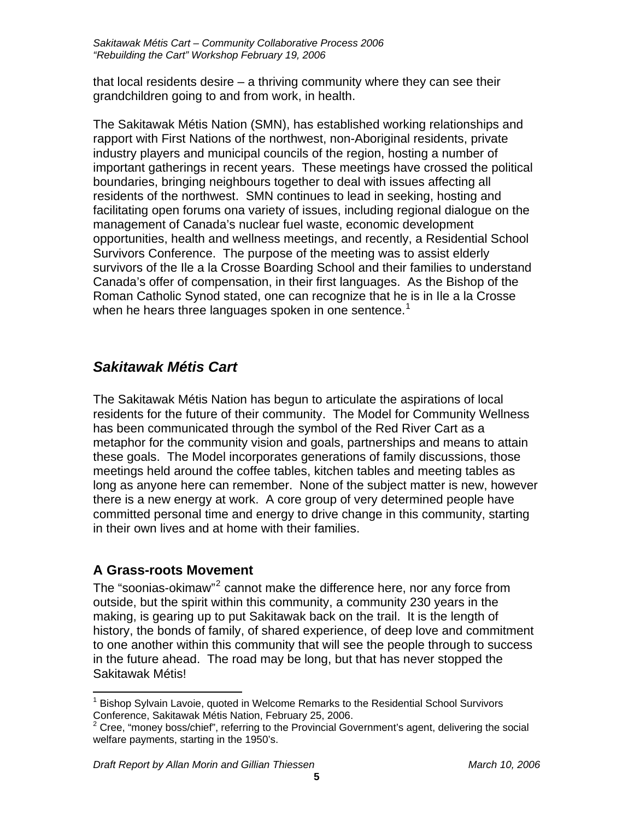<span id="page-4-0"></span>that local residents desire – a thriving community where they can see their grandchildren going to and from work, in health.

The Sakitawak Métis Nation (SMN), has established working relationships and rapport with First Nations of the northwest, non-Aboriginal residents, private industry players and municipal councils of the region, hosting a number of important gatherings in recent years. These meetings have crossed the political boundaries, bringing neighbours together to deal with issues affecting all residents of the northwest. SMN continues to lead in seeking, hosting and facilitating open forums ona variety of issues, including regional dialogue on the management of Canada's nuclear fuel waste, economic development opportunities, health and wellness meetings, and recently, a Residential School Survivors Conference. The purpose of the meeting was to assist elderly survivors of the Ile a la Crosse Boarding School and their families to understand Canada's offer of compensation, in their first languages. As the Bishop of the Roman Catholic Synod stated, one can recognize that he is in Ile a la Crosse when he hears three languages spoken in one sentence.<sup>[1](#page-4-1)</sup>

## *Sakitawak Métis Cart*

The Sakitawak Métis Nation has begun to articulate the aspirations of local residents for the future of their community. The Model for Community Wellness has been communicated through the symbol of the Red River Cart as a metaphor for the community vision and goals, partnerships and means to attain these goals. The Model incorporates generations of family discussions, those meetings held around the coffee tables, kitchen tables and meeting tables as long as anyone here can remember. None of the subject matter is new, however there is a new energy at work. A core group of very determined people have committed personal time and energy to drive change in this community, starting in their own lives and at home with their families.

### **A Grass-roots Movement**

The "soonias-okimaw"<sup>[2](#page-4-2)</sup> cannot make the difference here, nor any force from outside, but the spirit within this community, a community 230 years in the making, is gearing up to put Sakitawak back on the trail. It is the length of history, the bonds of family, of shared experience, of deep love and commitment to one another within this community that will see the people through to success in the future ahead. The road may be long, but that has never stopped the Sakitawak Métis!

<span id="page-4-1"></span> $\overline{a}$ 1 Bishop Sylvain Lavoie, quoted in Welcome Remarks to the Residential School Survivors Conference, Sakitawak Métis Nation, February 25, 2006.<br><sup>2</sup> Cree, "money boss/chief", referring to the Provincial Government's agent, delivering the social

<span id="page-4-2"></span>welfare payments, starting in the 1950's.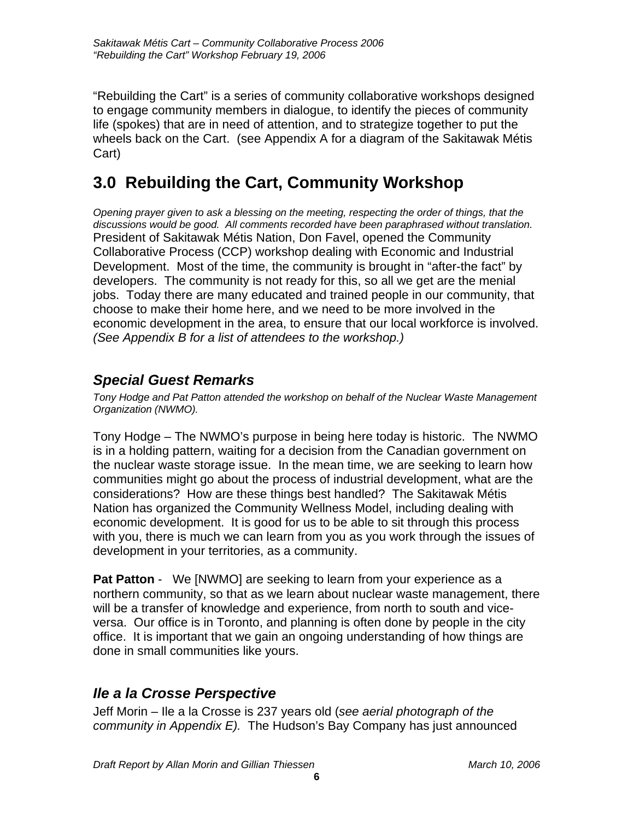<span id="page-5-0"></span>"Rebuilding the Cart" is a series of community collaborative workshops designed to engage community members in dialogue, to identify the pieces of community life (spokes) that are in need of attention, and to strategize together to put the wheels back on the Cart. (see Appendix A for a diagram of the Sakitawak Métis Cart)

## **3.0 Rebuilding the Cart, Community Workshop**

*Opening prayer given to ask a blessing on the meeting, respecting the order of things, that the discussions would be good. All comments recorded have been paraphrased without translation.*  President of Sakitawak Métis Nation, Don Favel, opened the Community Collaborative Process (CCP) workshop dealing with Economic and Industrial Development. Most of the time, the community is brought in "after-the fact" by developers. The community is not ready for this, so all we get are the menial jobs. Today there are many educated and trained people in our community, that choose to make their home here, and we need to be more involved in the economic development in the area, to ensure that our local workforce is involved. *(See Appendix B for a list of attendees to the workshop.)* 

## *Special Guest Remarks*

*Tony Hodge and Pat Patton attended the workshop on behalf of the Nuclear Waste Management Organization (NWMO).* 

Tony Hodge – The NWMO's purpose in being here today is historic. The NWMO is in a holding pattern, waiting for a decision from the Canadian government on the nuclear waste storage issue. In the mean time, we are seeking to learn how communities might go about the process of industrial development, what are the considerations? How are these things best handled? The Sakitawak Métis Nation has organized the Community Wellness Model, including dealing with economic development. It is good for us to be able to sit through this process with you, there is much we can learn from you as you work through the issues of development in your territories, as a community.

**Pat Patton** - We [NWMO] are seeking to learn from your experience as a northern community, so that as we learn about nuclear waste management, there will be a transfer of knowledge and experience, from north to south and viceversa. Our office is in Toronto, and planning is often done by people in the city office. It is important that we gain an ongoing understanding of how things are done in small communities like yours.

## *Ile a la Crosse Perspective*

Jeff Morin – Ile a la Crosse is 237 years old (*see aerial photograph of the community in Appendix E).* The Hudson's Bay Company has just announced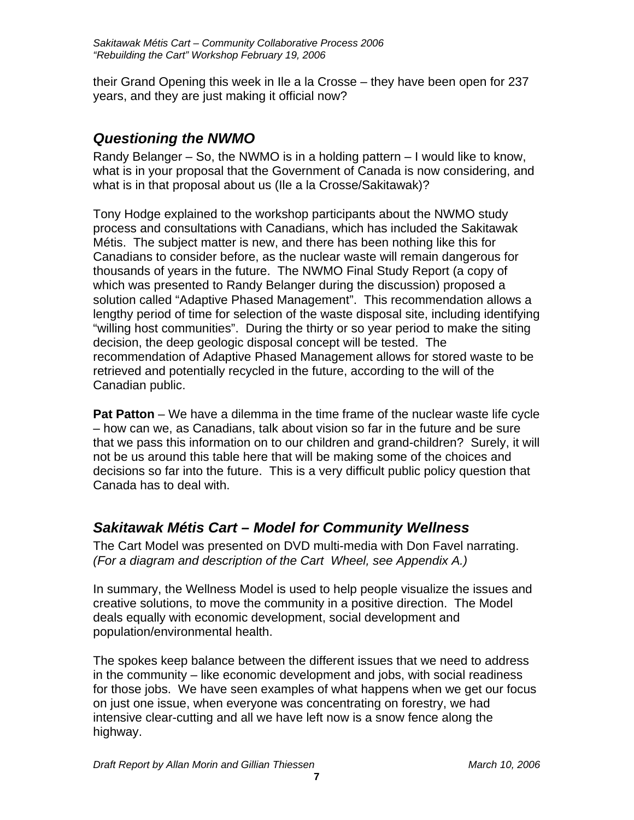<span id="page-6-0"></span>their Grand Opening this week in Ile a la Crosse – they have been open for 237 years, and they are just making it official now?

## *Questioning the NWMO*

Randy Belanger – So, the NWMO is in a holding pattern – I would like to know, what is in your proposal that the Government of Canada is now considering, and what is in that proposal about us (Ile a la Crosse/Sakitawak)?

Tony Hodge explained to the workshop participants about the NWMO study process and consultations with Canadians, which has included the Sakitawak Métis. The subject matter is new, and there has been nothing like this for Canadians to consider before, as the nuclear waste will remain dangerous for thousands of years in the future. The NWMO Final Study Report (a copy of which was presented to Randy Belanger during the discussion) proposed a solution called "Adaptive Phased Management". This recommendation allows a lengthy period of time for selection of the waste disposal site, including identifying "willing host communities". During the thirty or so year period to make the siting decision, the deep geologic disposal concept will be tested. The recommendation of Adaptive Phased Management allows for stored waste to be retrieved and potentially recycled in the future, according to the will of the Canadian public.

**Pat Patton** – We have a dilemma in the time frame of the nuclear waste life cycle – how can we, as Canadians, talk about vision so far in the future and be sure that we pass this information on to our children and grand-children? Surely, it will not be us around this table here that will be making some of the choices and decisions so far into the future. This is a very difficult public policy question that Canada has to deal with.

## *Sakitawak Métis Cart – Model for Community Wellness*

The Cart Model was presented on DVD multi-media with Don Favel narrating. *(For a diagram and description of the Cart Wheel, see Appendix A.)* 

In summary, the Wellness Model is used to help people visualize the issues and creative solutions, to move the community in a positive direction. The Model deals equally with economic development, social development and population/environmental health.

The spokes keep balance between the different issues that we need to address in the community – like economic development and jobs, with social readiness for those jobs. We have seen examples of what happens when we get our focus on just one issue, when everyone was concentrating on forestry, we had intensive clear-cutting and all we have left now is a snow fence along the highway.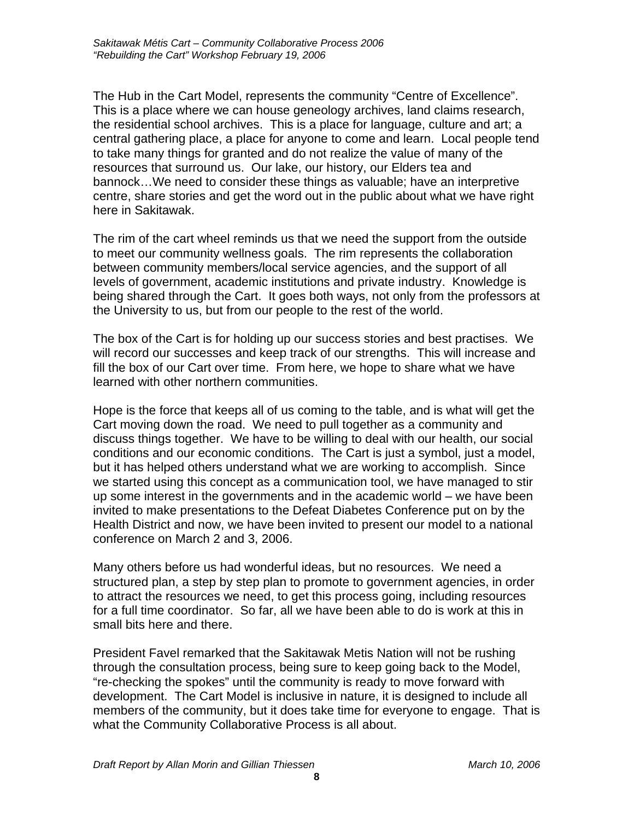The Hub in the Cart Model, represents the community "Centre of Excellence". This is a place where we can house geneology archives, land claims research, the residential school archives. This is a place for language, culture and art; a central gathering place, a place for anyone to come and learn. Local people tend to take many things for granted and do not realize the value of many of the resources that surround us. Our lake, our history, our Elders tea and bannock…We need to consider these things as valuable; have an interpretive centre, share stories and get the word out in the public about what we have right here in Sakitawak.

The rim of the cart wheel reminds us that we need the support from the outside to meet our community wellness goals. The rim represents the collaboration between community members/local service agencies, and the support of all levels of government, academic institutions and private industry. Knowledge is being shared through the Cart. It goes both ways, not only from the professors at the University to us, but from our people to the rest of the world.

The box of the Cart is for holding up our success stories and best practises. We will record our successes and keep track of our strengths. This will increase and fill the box of our Cart over time. From here, we hope to share what we have learned with other northern communities.

Hope is the force that keeps all of us coming to the table, and is what will get the Cart moving down the road. We need to pull together as a community and discuss things together. We have to be willing to deal with our health, our social conditions and our economic conditions. The Cart is just a symbol, just a model, but it has helped others understand what we are working to accomplish. Since we started using this concept as a communication tool, we have managed to stir up some interest in the governments and in the academic world – we have been invited to make presentations to the Defeat Diabetes Conference put on by the Health District and now, we have been invited to present our model to a national conference on March 2 and 3, 2006.

Many others before us had wonderful ideas, but no resources. We need a structured plan, a step by step plan to promote to government agencies, in order to attract the resources we need, to get this process going, including resources for a full time coordinator. So far, all we have been able to do is work at this in small bits here and there.

President Favel remarked that the Sakitawak Metis Nation will not be rushing through the consultation process, being sure to keep going back to the Model, "re-checking the spokes" until the community is ready to move forward with development. The Cart Model is inclusive in nature, it is designed to include all members of the community, but it does take time for everyone to engage. That is what the Community Collaborative Process is all about.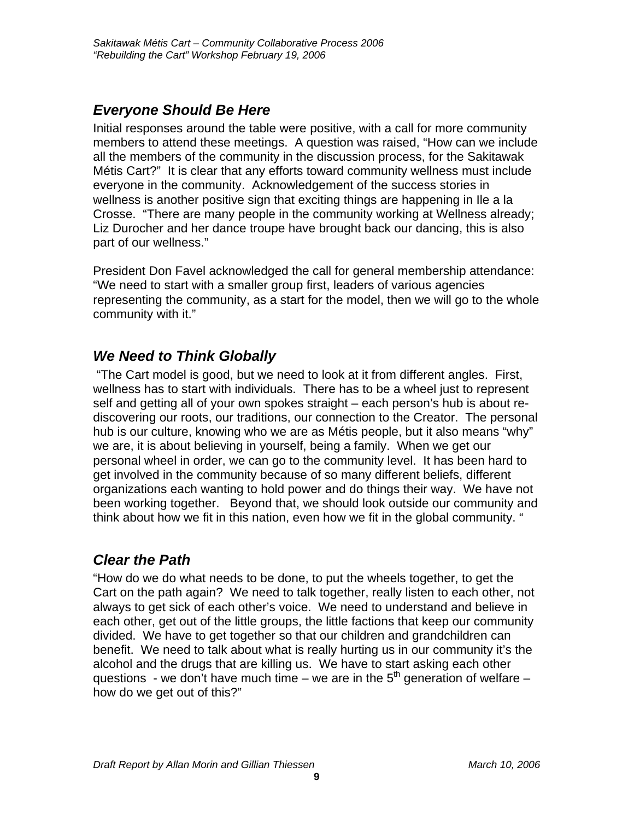## <span id="page-8-0"></span>*Everyone Should Be Here*

Initial responses around the table were positive, with a call for more community members to attend these meetings. A question was raised, "How can we include all the members of the community in the discussion process, for the Sakitawak Métis Cart?" It is clear that any efforts toward community wellness must include everyone in the community. Acknowledgement of the success stories in wellness is another positive sign that exciting things are happening in Ile a la Crosse. "There are many people in the community working at Wellness already; Liz Durocher and her dance troupe have brought back our dancing, this is also part of our wellness."

President Don Favel acknowledged the call for general membership attendance: "We need to start with a smaller group first, leaders of various agencies representing the community, as a start for the model, then we will go to the whole community with it."

## *We Need to Think Globally*

 "The Cart model is good, but we need to look at it from different angles. First, wellness has to start with individuals. There has to be a wheel just to represent self and getting all of your own spokes straight – each person's hub is about rediscovering our roots, our traditions, our connection to the Creator. The personal hub is our culture, knowing who we are as Métis people, but it also means "why" we are, it is about believing in yourself, being a family. When we get our personal wheel in order, we can go to the community level. It has been hard to get involved in the community because of so many different beliefs, different organizations each wanting to hold power and do things their way. We have not been working together. Beyond that, we should look outside our community and think about how we fit in this nation, even how we fit in the global community. "

## *Clear the Path*

"How do we do what needs to be done, to put the wheels together, to get the Cart on the path again? We need to talk together, really listen to each other, not always to get sick of each other's voice. We need to understand and believe in each other, get out of the little groups, the little factions that keep our community divided. We have to get together so that our children and grandchildren can benefit. We need to talk about what is really hurting us in our community it's the alcohol and the drugs that are killing us. We have to start asking each other questions - we don't have much time – we are in the  $5<sup>th</sup>$  generation of welfare – how do we get out of this?"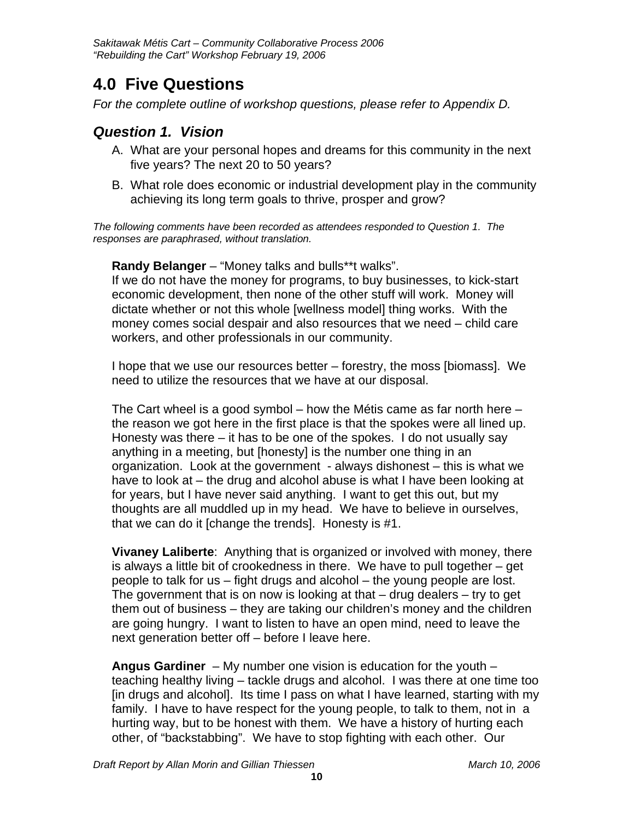## <span id="page-9-0"></span>**4.0 Five Questions**

*For the complete outline of workshop questions, please refer to Appendix D.* 

### *Question 1. Vision*

- A. What are your personal hopes and dreams for this community in the next five years? The next 20 to 50 years?
- B. What role does economic or industrial development play in the community achieving its long term goals to thrive, prosper and grow?

*The following comments have been recorded as attendees responded to Question 1. The responses are paraphrased, without translation.* 

**Randy Belanger** – "Money talks and bulls\*\*t walks".

If we do not have the money for programs, to buy businesses, to kick-start economic development, then none of the other stuff will work. Money will dictate whether or not this whole [wellness model] thing works. With the money comes social despair and also resources that we need – child care workers, and other professionals in our community.

I hope that we use our resources better – forestry, the moss [biomass]. We need to utilize the resources that we have at our disposal.

The Cart wheel is a good symbol  $-$  how the Métis came as far north here  $$ the reason we got here in the first place is that the spokes were all lined up. Honesty was there – it has to be one of the spokes. I do not usually say anything in a meeting, but [honesty] is the number one thing in an organization. Look at the government - always dishonest – this is what we have to look at – the drug and alcohol abuse is what I have been looking at for years, but I have never said anything. I want to get this out, but my thoughts are all muddled up in my head. We have to believe in ourselves, that we can do it [change the trends]. Honesty is #1.

**Vivaney Laliberte**: Anything that is organized or involved with money, there is always a little bit of crookedness in there. We have to pull together – get people to talk for us – fight drugs and alcohol – the young people are lost. The government that is on now is looking at that  $-$  drug dealers  $-$  try to get them out of business – they are taking our children's money and the children are going hungry. I want to listen to have an open mind, need to leave the next generation better off – before I leave here.

**Angus Gardiner** – My number one vision is education for the youth – teaching healthy living – tackle drugs and alcohol. I was there at one time too [in drugs and alcohol]. Its time I pass on what I have learned, starting with my family. I have to have respect for the young people, to talk to them, not in a hurting way, but to be honest with them. We have a history of hurting each other, of "backstabbing". We have to stop fighting with each other. Our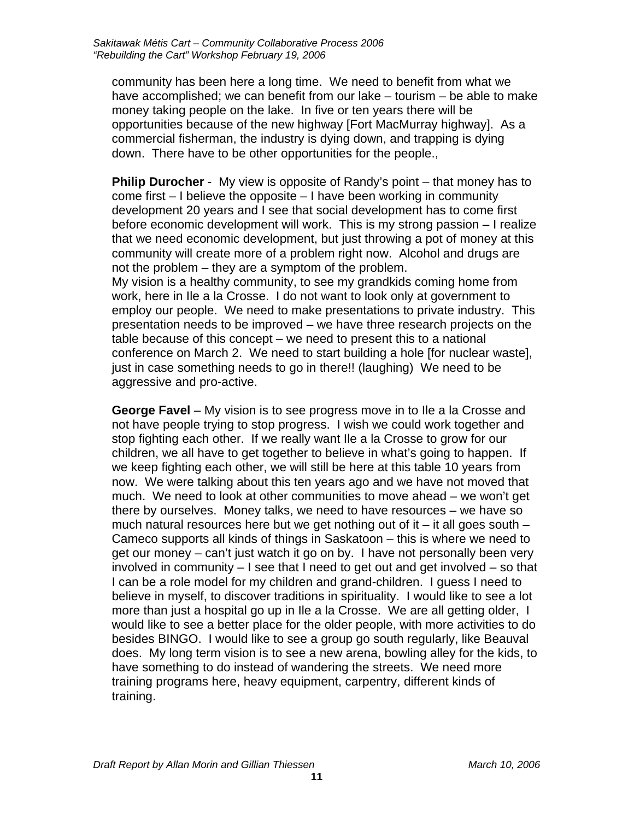community has been here a long time. We need to benefit from what we have accomplished; we can benefit from our lake – tourism – be able to make money taking people on the lake. In five or ten years there will be opportunities because of the new highway [Fort MacMurray highway]. As a commercial fisherman, the industry is dying down, and trapping is dying down. There have to be other opportunities for the people.,

**Philip Durocher** - My view is opposite of Randy's point – that money has to come first – I believe the opposite – I have been working in community development 20 years and I see that social development has to come first before economic development will work. This is my strong passion – I realize that we need economic development, but just throwing a pot of money at this community will create more of a problem right now. Alcohol and drugs are not the problem – they are a symptom of the problem. My vision is a healthy community, to see my grandkids coming home from work, here in Ile a la Crosse. I do not want to look only at government to employ our people. We need to make presentations to private industry. This presentation needs to be improved – we have three research projects on the table because of this concept – we need to present this to a national conference on March 2. We need to start building a hole [for nuclear waste], just in case something needs to go in there!! (laughing) We need to be aggressive and pro-active.

**George Favel** – My vision is to see progress move in to Ile a la Crosse and not have people trying to stop progress. I wish we could work together and stop fighting each other. If we really want Ile a la Crosse to grow for our children, we all have to get together to believe in what's going to happen. If we keep fighting each other, we will still be here at this table 10 years from now. We were talking about this ten years ago and we have not moved that much. We need to look at other communities to move ahead – we won't get there by ourselves. Money talks, we need to have resources – we have so much natural resources here but we get nothing out of it  $-$  it all goes south  $-$ Cameco supports all kinds of things in Saskatoon – this is where we need to get our money – can't just watch it go on by. I have not personally been very involved in community – I see that I need to get out and get involved – so that I can be a role model for my children and grand-children. I guess I need to believe in myself, to discover traditions in spirituality. I would like to see a lot more than just a hospital go up in Ile a la Crosse. We are all getting older, I would like to see a better place for the older people, with more activities to do besides BINGO. I would like to see a group go south regularly, like Beauval does. My long term vision is to see a new arena, bowling alley for the kids, to have something to do instead of wandering the streets. We need more training programs here, heavy equipment, carpentry, different kinds of training.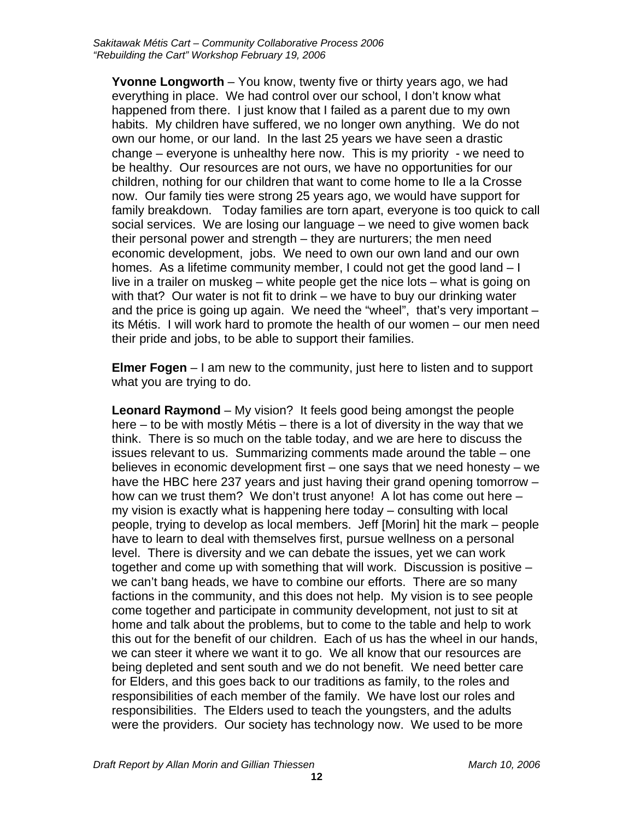**Yvonne Longworth** – You know, twenty five or thirty years ago, we had everything in place. We had control over our school, I don't know what happened from there. I just know that I failed as a parent due to my own habits. My children have suffered, we no longer own anything. We do not own our home, or our land. In the last 25 years we have seen a drastic change – everyone is unhealthy here now. This is my priority - we need to be healthy. Our resources are not ours, we have no opportunities for our children, nothing for our children that want to come home to Ile a la Crosse now. Our family ties were strong 25 years ago, we would have support for family breakdown. Today families are torn apart, everyone is too quick to call social services. We are losing our language – we need to give women back their personal power and strength – they are nurturers; the men need economic development, jobs. We need to own our own land and our own homes. As a lifetime community member, I could not get the good land – I live in a trailer on muskeg – white people get the nice lots – what is going on with that? Our water is not fit to drink – we have to buy our drinking water and the price is going up again. We need the "wheel", that's very important – its Métis. I will work hard to promote the health of our women – our men need their pride and jobs, to be able to support their families.

**Elmer Fogen** – I am new to the community, just here to listen and to support what you are trying to do.

**Leonard Raymond** – My vision? It feels good being amongst the people here – to be with mostly Métis – there is a lot of diversity in the way that we think. There is so much on the table today, and we are here to discuss the issues relevant to us. Summarizing comments made around the table – one believes in economic development first – one says that we need honesty – we have the HBC here 237 years and just having their grand opening tomorrow – how can we trust them? We don't trust anyone! A lot has come out here – my vision is exactly what is happening here today – consulting with local people, trying to develop as local members. Jeff [Morin] hit the mark – people have to learn to deal with themselves first, pursue wellness on a personal level. There is diversity and we can debate the issues, yet we can work together and come up with something that will work. Discussion is positive – we can't bang heads, we have to combine our efforts. There are so many factions in the community, and this does not help. My vision is to see people come together and participate in community development, not just to sit at home and talk about the problems, but to come to the table and help to work this out for the benefit of our children. Each of us has the wheel in our hands, we can steer it where we want it to go. We all know that our resources are being depleted and sent south and we do not benefit. We need better care for Elders, and this goes back to our traditions as family, to the roles and responsibilities of each member of the family. We have lost our roles and responsibilities. The Elders used to teach the youngsters, and the adults were the providers. Our society has technology now. We used to be more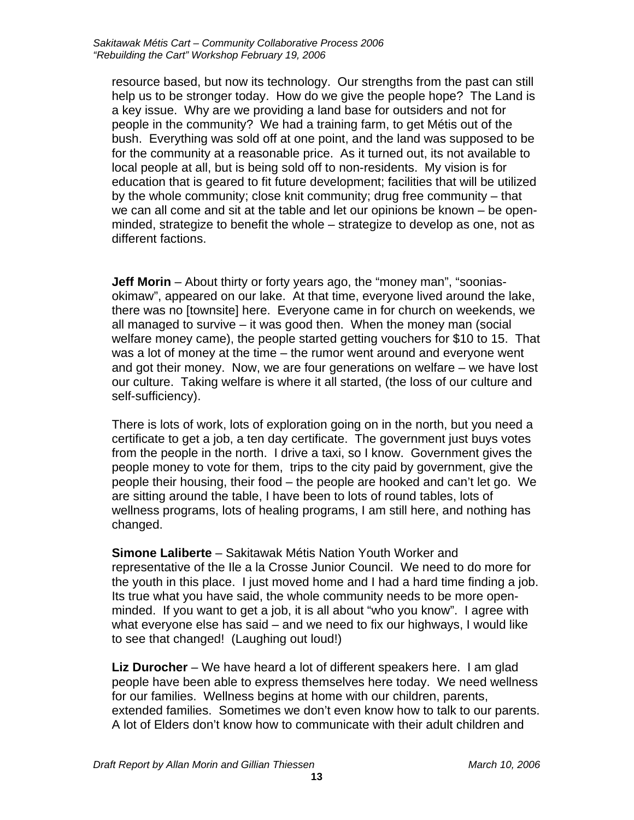resource based, but now its technology. Our strengths from the past can still help us to be stronger today. How do we give the people hope? The Land is a key issue. Why are we providing a land base for outsiders and not for people in the community? We had a training farm, to get Métis out of the bush. Everything was sold off at one point, and the land was supposed to be for the community at a reasonable price. As it turned out, its not available to local people at all, but is being sold off to non-residents. My vision is for education that is geared to fit future development; facilities that will be utilized by the whole community; close knit community; drug free community – that we can all come and sit at the table and let our opinions be known – be openminded, strategize to benefit the whole – strategize to develop as one, not as different factions.

**Jeff Morin** – About thirty or forty years ago, the "money man", "sooniasokimaw", appeared on our lake. At that time, everyone lived around the lake, there was no [townsite] here. Everyone came in for church on weekends, we all managed to survive – it was good then. When the money man (social welfare money came), the people started getting vouchers for \$10 to 15. That was a lot of money at the time – the rumor went around and everyone went and got their money. Now, we are four generations on welfare – we have lost our culture. Taking welfare is where it all started, (the loss of our culture and self-sufficiency).

There is lots of work, lots of exploration going on in the north, but you need a certificate to get a job, a ten day certificate. The government just buys votes from the people in the north. I drive a taxi, so I know. Government gives the people money to vote for them, trips to the city paid by government, give the people their housing, their food – the people are hooked and can't let go. We are sitting around the table, I have been to lots of round tables, lots of wellness programs, lots of healing programs, I am still here, and nothing has changed.

**Simone Laliberte** – Sakitawak Métis Nation Youth Worker and representative of the Ile a la Crosse Junior Council. We need to do more for the youth in this place. I just moved home and I had a hard time finding a job. Its true what you have said, the whole community needs to be more openminded. If you want to get a job, it is all about "who you know". I agree with what everyone else has said – and we need to fix our highways, I would like to see that changed! (Laughing out loud!)

**Liz Durocher** – We have heard a lot of different speakers here. I am glad people have been able to express themselves here today. We need wellness for our families. Wellness begins at home with our children, parents, extended families. Sometimes we don't even know how to talk to our parents. A lot of Elders don't know how to communicate with their adult children and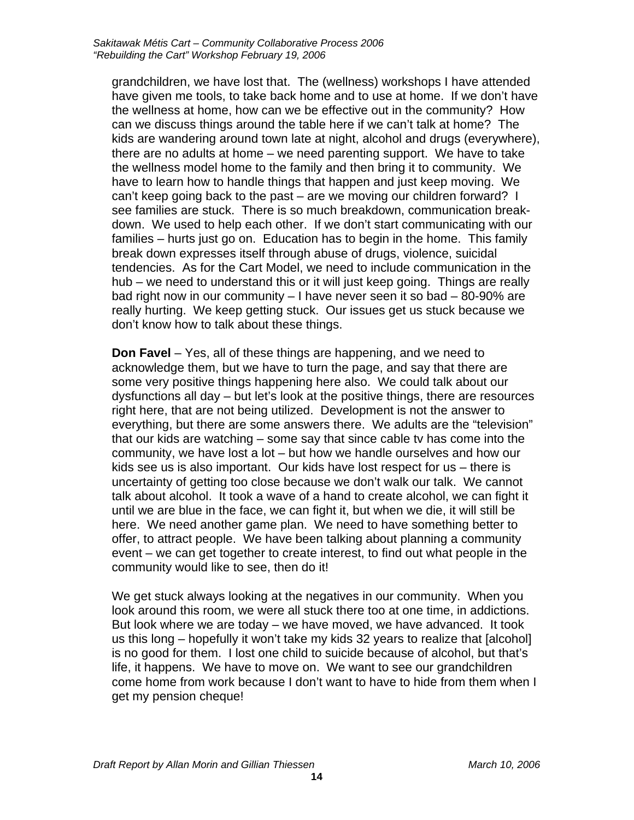grandchildren, we have lost that. The (wellness) workshops I have attended have given me tools, to take back home and to use at home. If we don't have the wellness at home, how can we be effective out in the community? How can we discuss things around the table here if we can't talk at home? The kids are wandering around town late at night, alcohol and drugs (everywhere), there are no adults at home – we need parenting support. We have to take the wellness model home to the family and then bring it to community. We have to learn how to handle things that happen and just keep moving. We can't keep going back to the past – are we moving our children forward? I see families are stuck. There is so much breakdown, communication breakdown. We used to help each other. If we don't start communicating with our families – hurts just go on. Education has to begin in the home. This family break down expresses itself through abuse of drugs, violence, suicidal tendencies. As for the Cart Model, we need to include communication in the hub – we need to understand this or it will just keep going. Things are really bad right now in our community – I have never seen it so bad – 80-90% are really hurting. We keep getting stuck. Our issues get us stuck because we don't know how to talk about these things.

**Don Favel** – Yes, all of these things are happening, and we need to acknowledge them, but we have to turn the page, and say that there are some very positive things happening here also. We could talk about our dysfunctions all day – but let's look at the positive things, there are resources right here, that are not being utilized. Development is not the answer to everything, but there are some answers there. We adults are the "television" that our kids are watching – some say that since cable tv has come into the community, we have lost a lot – but how we handle ourselves and how our kids see us is also important. Our kids have lost respect for us – there is uncertainty of getting too close because we don't walk our talk. We cannot talk about alcohol. It took a wave of a hand to create alcohol, we can fight it until we are blue in the face, we can fight it, but when we die, it will still be here. We need another game plan. We need to have something better to offer, to attract people. We have been talking about planning a community event – we can get together to create interest, to find out what people in the community would like to see, then do it!

We get stuck always looking at the negatives in our community. When you look around this room, we were all stuck there too at one time, in addictions. But look where we are today – we have moved, we have advanced. It took us this long – hopefully it won't take my kids 32 years to realize that [alcohol] is no good for them. I lost one child to suicide because of alcohol, but that's life, it happens. We have to move on. We want to see our grandchildren come home from work because I don't want to have to hide from them when I get my pension cheque!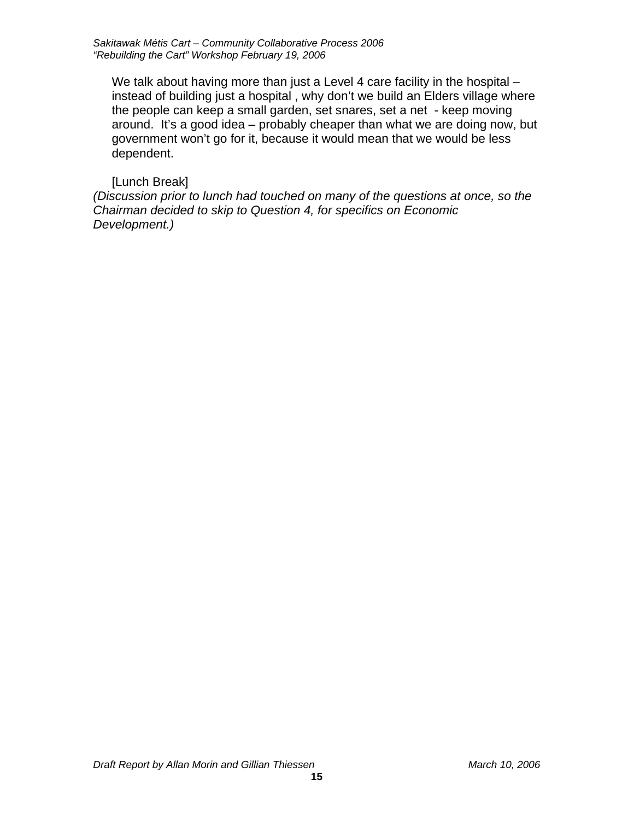We talk about having more than just a Level 4 care facility in the hospital – instead of building just a hospital , why don't we build an Elders village where the people can keep a small garden, set snares, set a net - keep moving around. It's a good idea – probably cheaper than what we are doing now, but government won't go for it, because it would mean that we would be less dependent.

#### [Lunch Break]

*(Discussion prior to lunch had touched on many of the questions at once, so the Chairman decided to skip to Question 4, for specifics on Economic Development.)*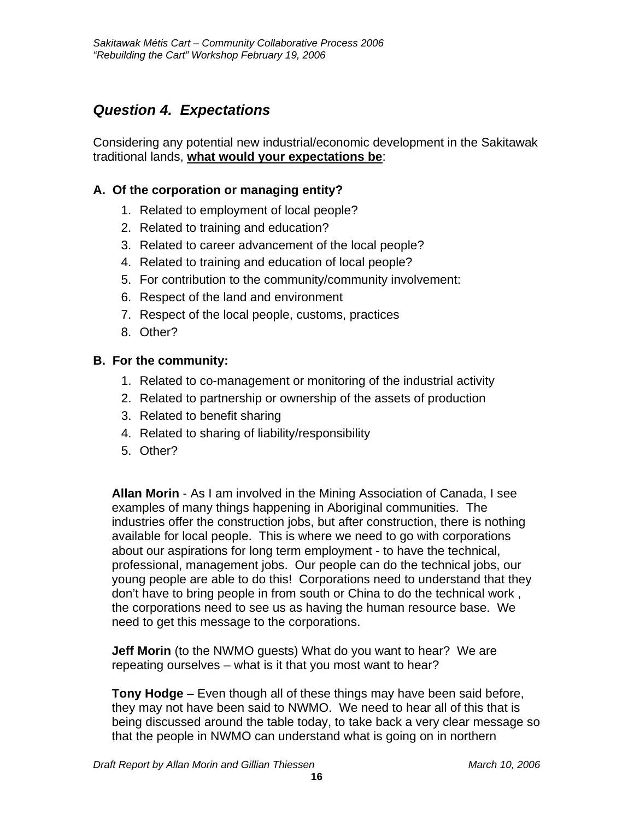## <span id="page-15-0"></span>*Question 4. Expectations*

Considering any potential new industrial/economic development in the Sakitawak traditional lands, **what would your expectations be**:

#### **A. Of the corporation or managing entity?**

- 1. Related to employment of local people?
- 2. Related to training and education?
- 3. Related to career advancement of the local people?
- 4. Related to training and education of local people?
- 5. For contribution to the community/community involvement:
- 6. Respect of the land and environment
- 7. Respect of the local people, customs, practices
- 8. Other?

#### **B. For the community:**

- 1. Related to co-management or monitoring of the industrial activity
- 2. Related to partnership or ownership of the assets of production
- 3. Related to benefit sharing
- 4. Related to sharing of liability/responsibility
- 5. Other?

**Allan Morin** - As I am involved in the Mining Association of Canada, I see examples of many things happening in Aboriginal communities. The industries offer the construction jobs, but after construction, there is nothing available for local people. This is where we need to go with corporations about our aspirations for long term employment - to have the technical, professional, management jobs. Our people can do the technical jobs, our young people are able to do this! Corporations need to understand that they don't have to bring people in from south or China to do the technical work , the corporations need to see us as having the human resource base. We need to get this message to the corporations.

**Jeff Morin** (to the NWMO guests) What do you want to hear? We are repeating ourselves – what is it that you most want to hear?

**Tony Hodge** – Even though all of these things may have been said before, they may not have been said to NWMO. We need to hear all of this that is being discussed around the table today, to take back a very clear message so that the people in NWMO can understand what is going on in northern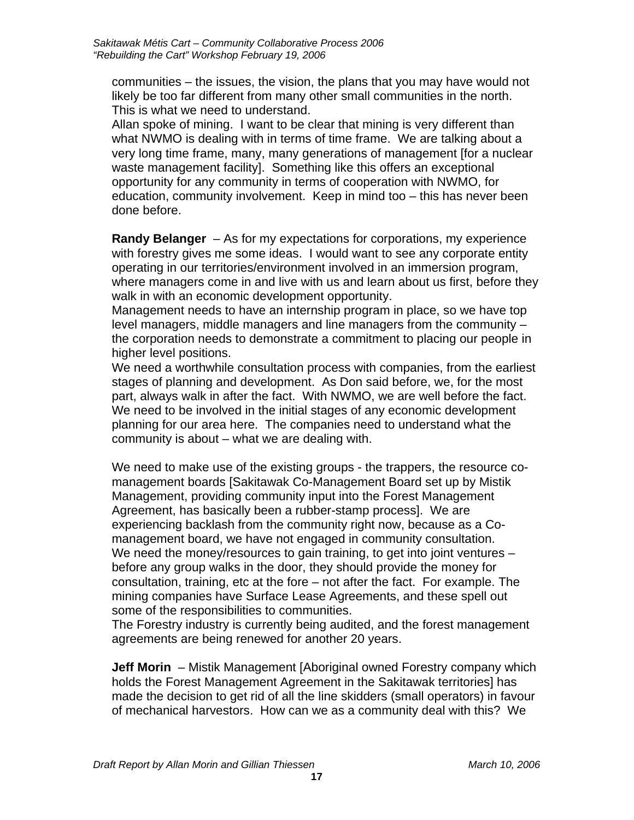communities – the issues, the vision, the plans that you may have would not likely be too far different from many other small communities in the north. This is what we need to understand.

Allan spoke of mining. I want to be clear that mining is very different than what NWMO is dealing with in terms of time frame. We are talking about a very long time frame, many, many generations of management [for a nuclear waste management facility]. Something like this offers an exceptional opportunity for any community in terms of cooperation with NWMO, for education, community involvement. Keep in mind too – this has never been done before.

**Randy Belanger** – As for my expectations for corporations, my experience with forestry gives me some ideas. I would want to see any corporate entity operating in our territories/environment involved in an immersion program, where managers come in and live with us and learn about us first, before they walk in with an economic development opportunity.

Management needs to have an internship program in place, so we have top level managers, middle managers and line managers from the community – the corporation needs to demonstrate a commitment to placing our people in higher level positions.

We need a worthwhile consultation process with companies, from the earliest stages of planning and development. As Don said before, we, for the most part, always walk in after the fact. With NWMO, we are well before the fact. We need to be involved in the initial stages of any economic development planning for our area here. The companies need to understand what the community is about – what we are dealing with.

We need to make use of the existing groups - the trappers, the resource comanagement boards [Sakitawak Co-Management Board set up by Mistik Management, providing community input into the Forest Management Agreement, has basically been a rubber-stamp process]. We are experiencing backlash from the community right now, because as a Comanagement board, we have not engaged in community consultation. We need the money/resources to gain training, to get into joint ventures – before any group walks in the door, they should provide the money for consultation, training, etc at the fore – not after the fact. For example. The mining companies have Surface Lease Agreements, and these spell out some of the responsibilities to communities.

The Forestry industry is currently being audited, and the forest management agreements are being renewed for another 20 years.

**Jeff Morin** – Mistik Management [Aboriginal owned Forestry company which holds the Forest Management Agreement in the Sakitawak territories] has made the decision to get rid of all the line skidders (small operators) in favour of mechanical harvestors. How can we as a community deal with this? We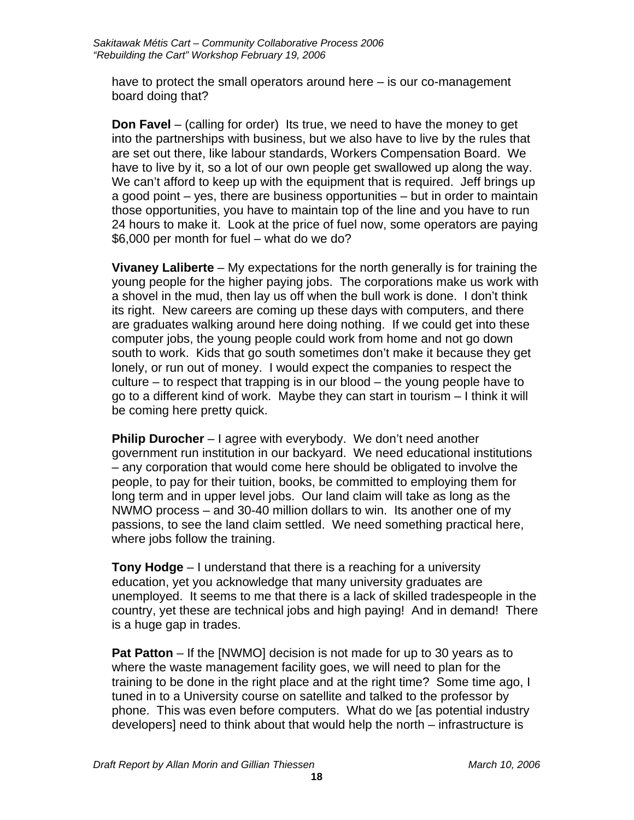have to protect the small operators around here – is our co-management board doing that?

**Don Favel** – (calling for order) Its true, we need to have the money to get into the partnerships with business, but we also have to live by the rules that are set out there, like labour standards, Workers Compensation Board. We have to live by it, so a lot of our own people get swallowed up along the way. We can't afford to keep up with the equipment that is required. Jeff brings up a good point – yes, there are business opportunities – but in order to maintain those opportunities, you have to maintain top of the line and you have to run 24 hours to make it. Look at the price of fuel now, some operators are paying \$6,000 per month for fuel – what do we do?

**Vivaney Laliberte** – My expectations for the north generally is for training the young people for the higher paying jobs. The corporations make us work with a shovel in the mud, then lay us off when the bull work is done. I don't think its right. New careers are coming up these days with computers, and there are graduates walking around here doing nothing. If we could get into these computer jobs, the young people could work from home and not go down south to work. Kids that go south sometimes don't make it because they get lonely, or run out of money. I would expect the companies to respect the culture – to respect that trapping is in our blood – the young people have to go to a different kind of work. Maybe they can start in tourism – I think it will be coming here pretty quick.

**Philip Durocher** – I agree with everybody. We don't need another government run institution in our backyard. We need educational institutions – any corporation that would come here should be obligated to involve the people, to pay for their tuition, books, be committed to employing them for long term and in upper level jobs. Our land claim will take as long as the NWMO process – and 30-40 million dollars to win. Its another one of my passions, to see the land claim settled. We need something practical here, where jobs follow the training.

**Tony Hodge** – I understand that there is a reaching for a university education, yet you acknowledge that many university graduates are unemployed. It seems to me that there is a lack of skilled tradespeople in the country, yet these are technical jobs and high paying! And in demand! There is a huge gap in trades.

**Pat Patton** – If the [NWMO] decision is not made for up to 30 years as to where the waste management facility goes, we will need to plan for the training to be done in the right place and at the right time? Some time ago, I tuned in to a University course on satellite and talked to the professor by phone. This was even before computers. What do we [as potential industry developers] need to think about that would help the north – infrastructure is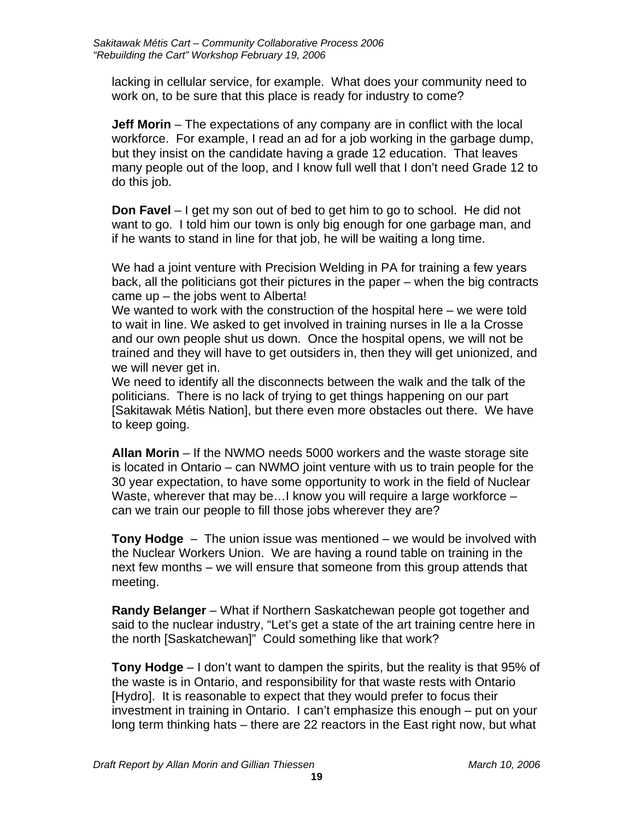lacking in cellular service, for example. What does your community need to work on, to be sure that this place is ready for industry to come?

**Jeff Morin** – The expectations of any company are in conflict with the local workforce. For example, I read an ad for a job working in the garbage dump, but they insist on the candidate having a grade 12 education. That leaves many people out of the loop, and I know full well that I don't need Grade 12 to do this job.

**Don Favel** – I get my son out of bed to get him to go to school. He did not want to go. I told him our town is only big enough for one garbage man, and if he wants to stand in line for that job, he will be waiting a long time.

We had a joint venture with Precision Welding in PA for training a few years back, all the politicians got their pictures in the paper – when the big contracts came up – the jobs went to Alberta!

We wanted to work with the construction of the hospital here – we were told to wait in line. We asked to get involved in training nurses in Ile a la Crosse and our own people shut us down. Once the hospital opens, we will not be trained and they will have to get outsiders in, then they will get unionized, and we will never get in.

We need to identify all the disconnects between the walk and the talk of the politicians. There is no lack of trying to get things happening on our part [Sakitawak Métis Nation], but there even more obstacles out there. We have to keep going.

**Allan Morin** – If the NWMO needs 5000 workers and the waste storage site is located in Ontario – can NWMO joint venture with us to train people for the 30 year expectation, to have some opportunity to work in the field of Nuclear Waste, wherever that may be... I know you will require a large workforce – can we train our people to fill those jobs wherever they are?

**Tony Hodge** – The union issue was mentioned – we would be involved with the Nuclear Workers Union. We are having a round table on training in the next few months – we will ensure that someone from this group attends that meeting.

**Randy Belanger** – What if Northern Saskatchewan people got together and said to the nuclear industry, "Let's get a state of the art training centre here in the north [Saskatchewan]" Could something like that work?

**Tony Hodge** – I don't want to dampen the spirits, but the reality is that 95% of the waste is in Ontario, and responsibility for that waste rests with Ontario [Hydro]. It is reasonable to expect that they would prefer to focus their investment in training in Ontario. I can't emphasize this enough – put on your long term thinking hats – there are 22 reactors in the East right now, but what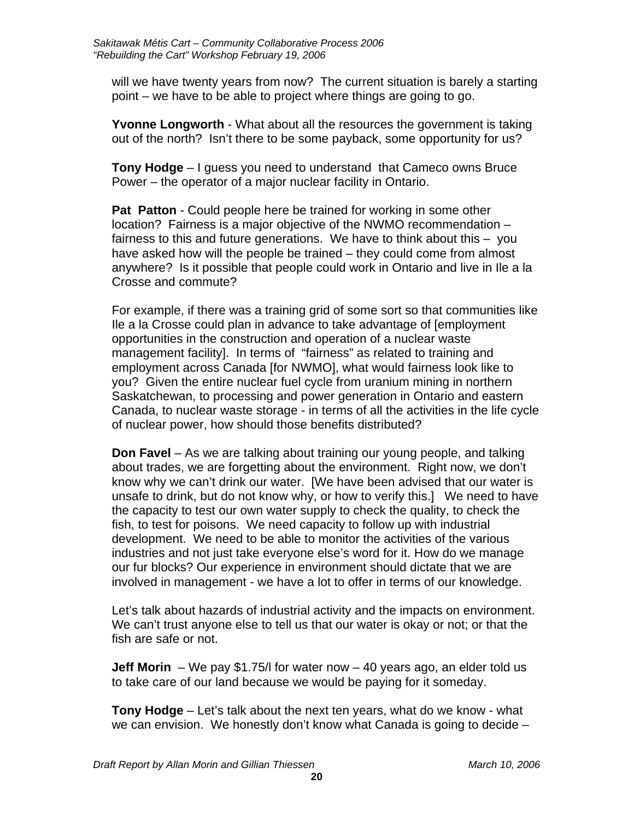will we have twenty years from now? The current situation is barely a starting point – we have to be able to project where things are going to go.

**Yvonne Longworth** - What about all the resources the government is taking out of the north? Isn't there to be some payback, some opportunity for us?

**Tony Hodge** – I guess you need to understand that Cameco owns Bruce Power – the operator of a major nuclear facility in Ontario.

**Pat Patton** - Could people here be trained for working in some other location? Fairness is a major objective of the NWMO recommendation – fairness to this and future generations. We have to think about this – you have asked how will the people be trained – they could come from almost anywhere? Is it possible that people could work in Ontario and live in Ile a la Crosse and commute?

For example, if there was a training grid of some sort so that communities like Ile a la Crosse could plan in advance to take advantage of [employment opportunities in the construction and operation of a nuclear waste management facility]. In terms of "fairness" as related to training and employment across Canada [for NWMO], what would fairness look like to you? Given the entire nuclear fuel cycle from uranium mining in northern Saskatchewan, to processing and power generation in Ontario and eastern Canada, to nuclear waste storage - in terms of all the activities in the life cycle of nuclear power, how should those benefits distributed?

**Don Favel** – As we are talking about training our young people, and talking about trades, we are forgetting about the environment. Right now, we don't know why we can't drink our water. [We have been advised that our water is unsafe to drink, but do not know why, or how to verify this.] We need to have the capacity to test our own water supply to check the quality, to check the fish, to test for poisons. We need capacity to follow up with industrial development. We need to be able to monitor the activities of the various industries and not just take everyone else's word for it. How do we manage our fur blocks? Our experience in environment should dictate that we are involved in management - we have a lot to offer in terms of our knowledge.

Let's talk about hazards of industrial activity and the impacts on environment. We can't trust anyone else to tell us that our water is okay or not; or that the fish are safe or not.

**Jeff Morin** – We pay \$1.75/l for water now – 40 years ago, an elder told us to take care of our land because we would be paying for it someday.

**Tony Hodge** – Let's talk about the next ten years, what do we know - what we can envision. We honestly don't know what Canada is going to decide –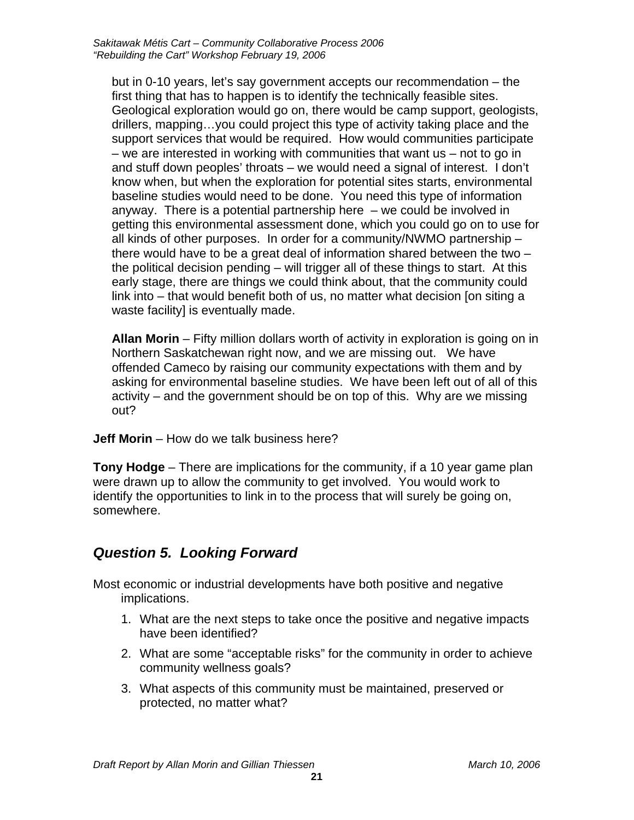<span id="page-20-0"></span>but in 0-10 years, let's say government accepts our recommendation – the first thing that has to happen is to identify the technically feasible sites. Geological exploration would go on, there would be camp support, geologists, drillers, mapping…you could project this type of activity taking place and the support services that would be required. How would communities participate – we are interested in working with communities that want us – not to go in and stuff down peoples' throats – we would need a signal of interest. I don't know when, but when the exploration for potential sites starts, environmental baseline studies would need to be done. You need this type of information anyway. There is a potential partnership here – we could be involved in getting this environmental assessment done, which you could go on to use for all kinds of other purposes. In order for a community/NWMO partnership – there would have to be a great deal of information shared between the two – the political decision pending – will trigger all of these things to start. At this early stage, there are things we could think about, that the community could link into – that would benefit both of us, no matter what decision [on siting a waste facility] is eventually made.

**Allan Morin** – Fifty million dollars worth of activity in exploration is going on in Northern Saskatchewan right now, and we are missing out. We have offended Cameco by raising our community expectations with them and by asking for environmental baseline studies. We have been left out of all of this activity – and the government should be on top of this. Why are we missing out?

**Jeff Morin** – How do we talk business here?

**Tony Hodge** – There are implications for the community, if a 10 year game plan were drawn up to allow the community to get involved. You would work to identify the opportunities to link in to the process that will surely be going on, somewhere.

## *Question 5. Looking Forward*

Most economic or industrial developments have both positive and negative implications.

- 1. What are the next steps to take once the positive and negative impacts have been identified?
- 2. What are some "acceptable risks" for the community in order to achieve community wellness goals?
- 3. What aspects of this community must be maintained, preserved or protected, no matter what?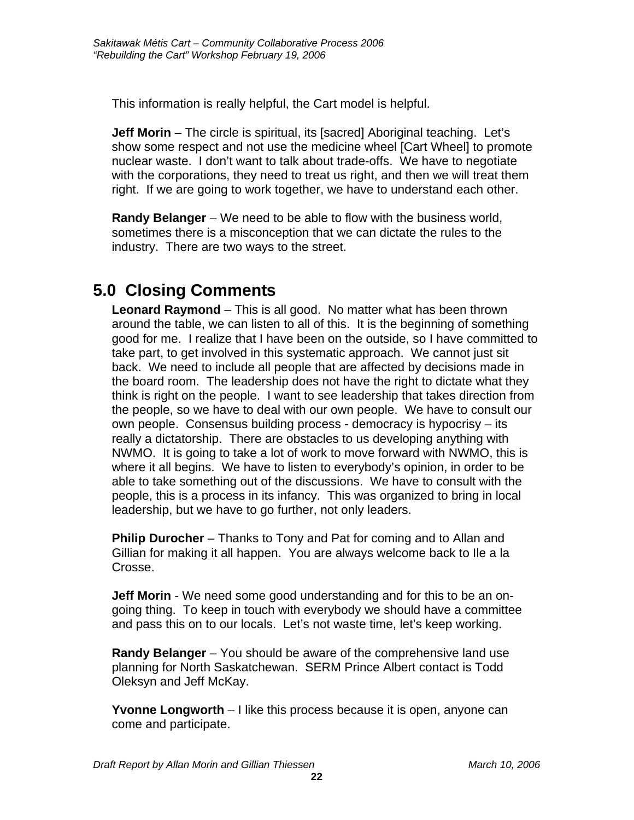<span id="page-21-0"></span>This information is really helpful, the Cart model is helpful.

**Jeff Morin** – The circle is spiritual, its [sacred] Aboriginal teaching. Let's show some respect and not use the medicine wheel [Cart Wheel] to promote nuclear waste. I don't want to talk about trade-offs. We have to negotiate with the corporations, they need to treat us right, and then we will treat them right. If we are going to work together, we have to understand each other.

**Randy Belanger** – We need to be able to flow with the business world, sometimes there is a misconception that we can dictate the rules to the industry. There are two ways to the street.

## **5.0 Closing Comments**

**Leonard Raymond** – This is all good. No matter what has been thrown around the table, we can listen to all of this. It is the beginning of something good for me. I realize that I have been on the outside, so I have committed to take part, to get involved in this systematic approach. We cannot just sit back. We need to include all people that are affected by decisions made in the board room. The leadership does not have the right to dictate what they think is right on the people. I want to see leadership that takes direction from the people, so we have to deal with our own people. We have to consult our own people. Consensus building process - democracy is hypocrisy – its really a dictatorship. There are obstacles to us developing anything with NWMO. It is going to take a lot of work to move forward with NWMO, this is where it all begins. We have to listen to everybody's opinion, in order to be able to take something out of the discussions. We have to consult with the people, this is a process in its infancy. This was organized to bring in local leadership, but we have to go further, not only leaders.

**Philip Durocher** – Thanks to Tony and Pat for coming and to Allan and Gillian for making it all happen. You are always welcome back to Ile a la Crosse.

**Jeff Morin** - We need some good understanding and for this to be an ongoing thing. To keep in touch with everybody we should have a committee and pass this on to our locals. Let's not waste time, let's keep working.

**Randy Belanger** – You should be aware of the comprehensive land use planning for North Saskatchewan. SERM Prince Albert contact is Todd Oleksyn and Jeff McKay.

**Yvonne Longworth** – I like this process because it is open, anyone can come and participate.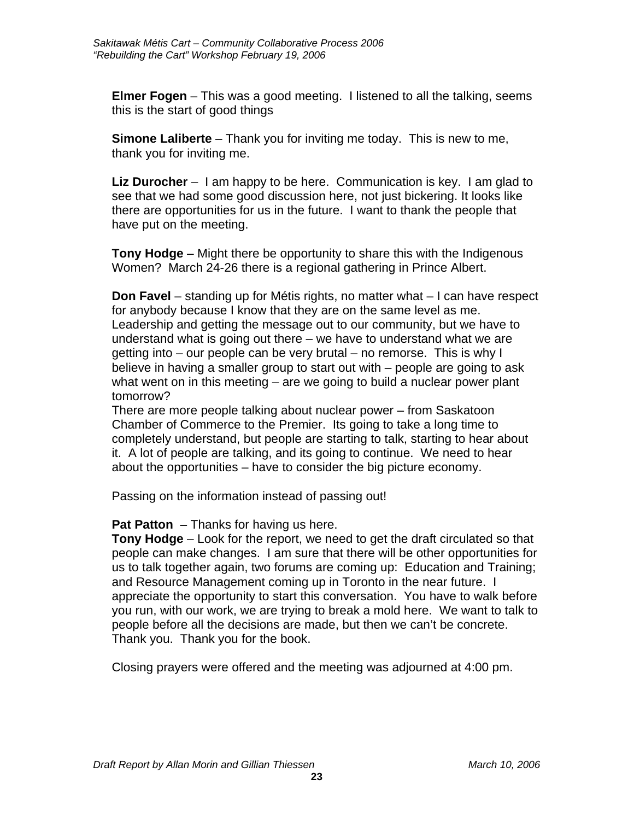**Elmer Fogen** – This was a good meeting. I listened to all the talking, seems this is the start of good things

**Simone Laliberte** – Thank you for inviting me today. This is new to me, thank you for inviting me.

**Liz Durocher** – I am happy to be here. Communication is key. I am glad to see that we had some good discussion here, not just bickering. It looks like there are opportunities for us in the future. I want to thank the people that have put on the meeting.

**Tony Hodge** – Might there be opportunity to share this with the Indigenous Women? March 24-26 there is a regional gathering in Prince Albert.

**Don Favel** – standing up for Métis rights, no matter what – I can have respect for anybody because I know that they are on the same level as me. Leadership and getting the message out to our community, but we have to understand what is going out there – we have to understand what we are getting into – our people can be very brutal – no remorse. This is why I believe in having a smaller group to start out with – people are going to ask what went on in this meeting – are we going to build a nuclear power plant tomorrow?

There are more people talking about nuclear power – from Saskatoon Chamber of Commerce to the Premier. Its going to take a long time to completely understand, but people are starting to talk, starting to hear about it. A lot of people are talking, and its going to continue. We need to hear about the opportunities – have to consider the big picture economy.

Passing on the information instead of passing out!

**Pat Patton** – Thanks for having us here.

**Tony Hodge** – Look for the report, we need to get the draft circulated so that people can make changes. I am sure that there will be other opportunities for us to talk together again, two forums are coming up: Education and Training; and Resource Management coming up in Toronto in the near future. I appreciate the opportunity to start this conversation. You have to walk before you run, with our work, we are trying to break a mold here. We want to talk to people before all the decisions are made, but then we can't be concrete. Thank you. Thank you for the book.

Closing prayers were offered and the meeting was adjourned at 4:00 pm.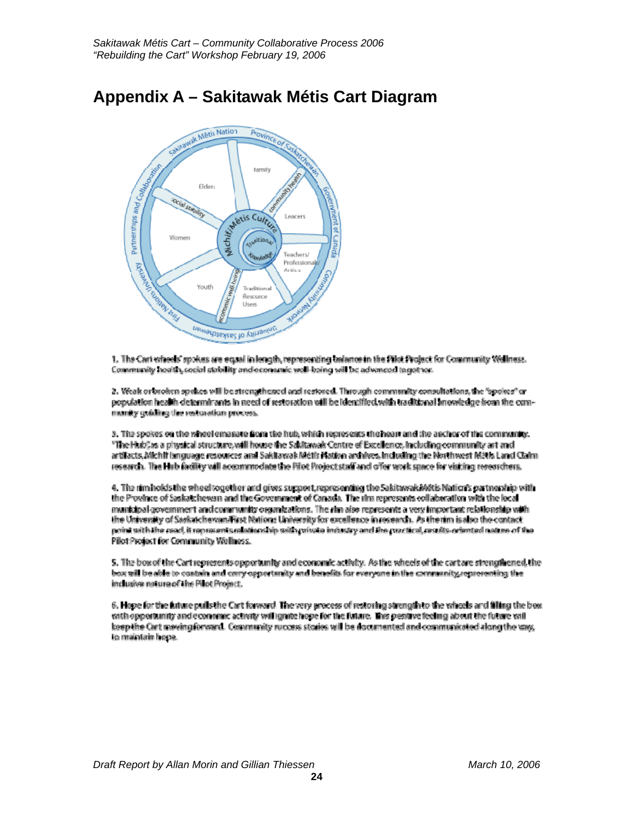## <span id="page-23-0"></span>**Appendix A – Sakitawak Métis Cart Diagram**



1. The Cart wheels' spokes are equal in length, representing balance in the Pilot Project for Community Wallness. Community hoolth, cocial stability and economic wall-baing will be advanced to get too.

2. Vécak orieneken spekes will be strengthesed and restored. Through community consultations, the "spokes" or copulation health determinants in need of restoration will be identified with traditional anowledge from the commanity quiding the restoration process.

3. The spokes on the whoelemanate from the hub, which represents the heart and the anchor of the community. "The HubCas a physical structure will hause the Sakitawak Centre of Excellence, including community art and artifacts. Michif isnguage resources and Sakitawak Métis Mation archives. Including the Northwest Métis Land Caim research. The Hub facility will accommodate the Pilot Project staff and offer work space for visiting researchers.

4. The rim holds the wheel together and gives support representing the Sakitawak/Alstis Nation's partnership with the Province of Saskatchewan and the Government of Canada. The rim represents collaboration with the local municipal acvernment and community organizations. The rim also represents a very important relationship with the University of Saskatchevan/First Nations University for excellence in recearch. As the rim is also the contact point with the read, it represents relationship with mixete industry and the practical, results oriented nature of the Pillot Project for Community Wellness.

5. The box of the Cartrepresents opportunity and economic activity. As the wheels of the cartare strengthened the box will be able to contain and carry opportunity and benefits for everyone in the community, representing the inclusive nature of the Pilot Project.

6. Hope for the future pulls the Cart forward. The very process of restoring strength to the wheels and filling the best with opportunity and consenic activity will ignite hope for the future. This pesitive feeling about the future will keep the Cart maving forward. Community success stories will be documented and communicated along the vass, to maintain hope.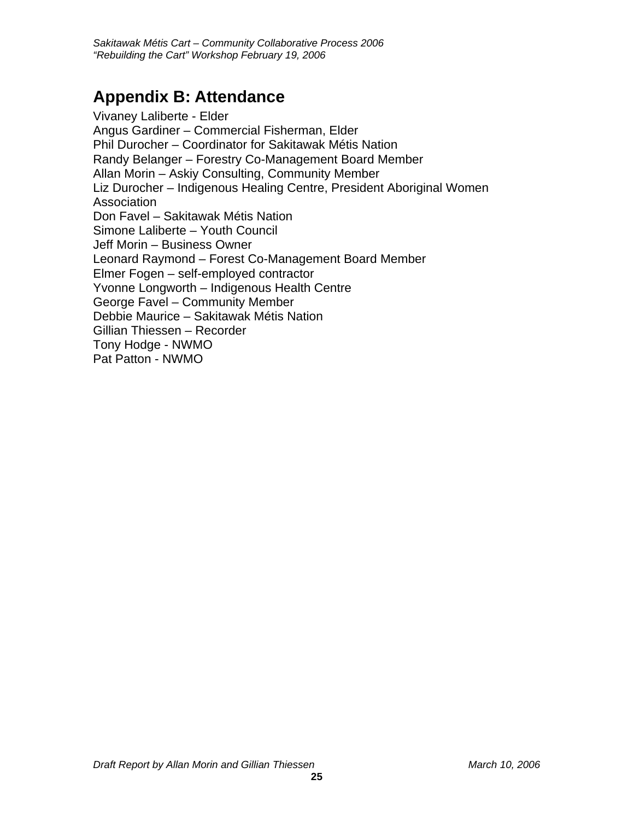## <span id="page-24-0"></span>**Appendix B: Attendance**

Vivaney Laliberte - Elder Angus Gardiner – Commercial Fisherman, Elder Phil Durocher – Coordinator for Sakitawak Métis Nation Randy Belanger – Forestry Co-Management Board Member Allan Morin – Askiy Consulting, Community Member Liz Durocher – Indigenous Healing Centre, President Aboriginal Women Association Don Favel – Sakitawak Métis Nation Simone Laliberte – Youth Council Jeff Morin – Business Owner Leonard Raymond – Forest Co-Management Board Member Elmer Fogen – self-employed contractor Yvonne Longworth – Indigenous Health Centre George Favel – Community Member Debbie Maurice – Sakitawak Métis Nation Gillian Thiessen – Recorder Tony Hodge - NWMO Pat Patton - NWMO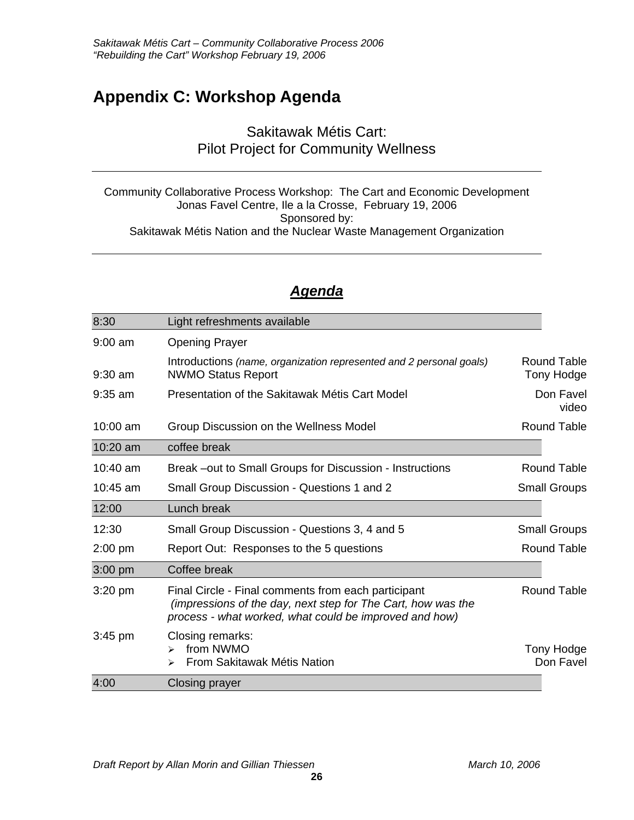## <span id="page-25-0"></span>**Appendix C: Workshop Agenda**

### Sakitawak Métis Cart: Pilot Project for Community Wellness

Community Collaborative Process Workshop: The Cart and Economic Development Jonas Favel Centre, Ile a la Crosse, February 19, 2006 Sponsored by: Sakitawak Métis Nation and the Nuclear Waste Management Organization

### *Agenda*

| 8:30      | Light refreshments available                                                                                                                                                  |                    |                           |
|-----------|-------------------------------------------------------------------------------------------------------------------------------------------------------------------------------|--------------------|---------------------------|
| $9:00$ am | <b>Opening Prayer</b>                                                                                                                                                         |                    |                           |
| $9:30$ am | Introductions (name, organization represented and 2 personal goals)<br><b>NWMO Status Report</b>                                                                              |                    | Round Table<br>Tony Hodge |
| $9:35$ am | Presentation of the Sakitawak Métis Cart Model                                                                                                                                | Don Favel<br>video |                           |
| 10:00 am  | Group Discussion on the Wellness Model                                                                                                                                        |                    | Round Table               |
| 10:20 am  | coffee break                                                                                                                                                                  |                    |                           |
| 10:40 am  | Break –out to Small Groups for Discussion - Instructions                                                                                                                      |                    | <b>Round Table</b>        |
| 10:45 am  | Small Group Discussion - Questions 1 and 2                                                                                                                                    |                    | <b>Small Groups</b>       |
| 12:00     | Lunch break                                                                                                                                                                   |                    |                           |
| 12:30     | Small Group Discussion - Questions 3, 4 and 5                                                                                                                                 |                    | <b>Small Groups</b>       |
| $2:00$ pm | Report Out: Responses to the 5 questions                                                                                                                                      |                    | <b>Round Table</b>        |
| 3:00 pm   | Coffee break                                                                                                                                                                  |                    |                           |
| $3:20$ pm | Final Circle - Final comments from each participant<br>(impressions of the day, next step for The Cart, how was the<br>process - what worked, what could be improved and how) |                    | Round Table               |
| $3:45$ pm | Closing remarks:<br>from NWMO<br>$\blacktriangleright$<br>From Sakitawak Métis Nation<br>⋗                                                                                    |                    | Tony Hodge<br>Don Favel   |
| 4:00      | Closing prayer                                                                                                                                                                |                    |                           |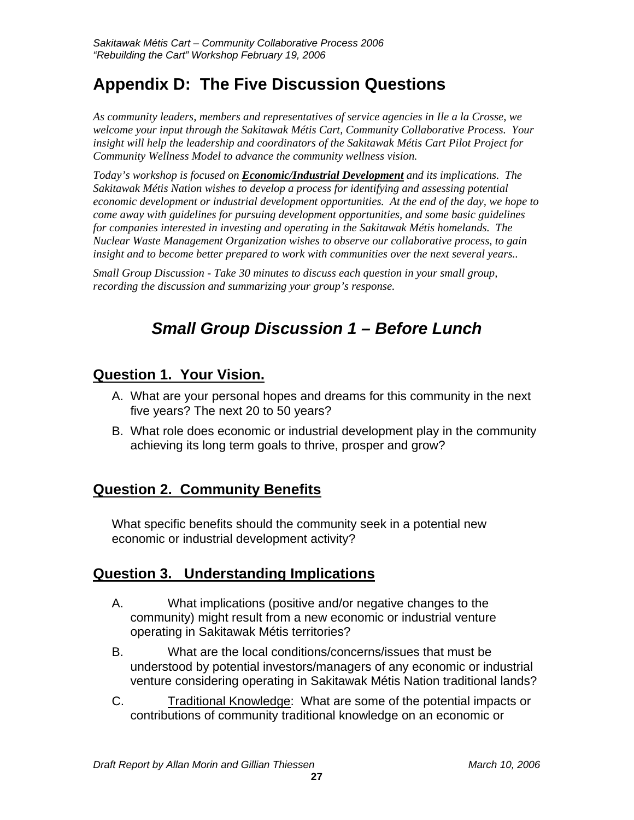## <span id="page-26-0"></span>**Appendix D: The Five Discussion Questions**

*As community leaders, members and representatives of service agencies in Ile a la Crosse, we welcome your input through the Sakitawak Métis Cart, Community Collaborative Process. Your insight will help the leadership and coordinators of the Sakitawak Métis Cart Pilot Project for Community Wellness Model to advance the community wellness vision.* 

*Today's workshop is focused on Economic/Industrial Development and its implications. The Sakitawak Métis Nation wishes to develop a process for identifying and assessing potential economic development or industrial development opportunities. At the end of the day, we hope to come away with guidelines for pursuing development opportunities, and some basic guidelines for companies interested in investing and operating in the Sakitawak Métis homelands. The Nuclear Waste Management Organization wishes to observe our collaborative process, to gain insight and to become better prepared to work with communities over the next several years..* 

*Small Group Discussion - Take 30 minutes to discuss each question in your small group, recording the discussion and summarizing your group's response.* 

## *Small Group Discussion 1 – Before Lunch*

## **Question 1. Your Vision.**

- A. What are your personal hopes and dreams for this community in the next five years? The next 20 to 50 years?
- B. What role does economic or industrial development play in the community achieving its long term goals to thrive, prosper and grow?

## **Question 2. Community Benefits**

What specific benefits should the community seek in a potential new economic or industrial development activity?

## **Question 3. Understanding Implications**

- A. What implications (positive and/or negative changes to the community) might result from a new economic or industrial venture operating in Sakitawak Métis territories?
- B. What are the local conditions/concerns/issues that must be understood by potential investors/managers of any economic or industrial venture considering operating in Sakitawak Métis Nation traditional lands?
- C. Traditional Knowledge: What are some of the potential impacts or contributions of community traditional knowledge on an economic or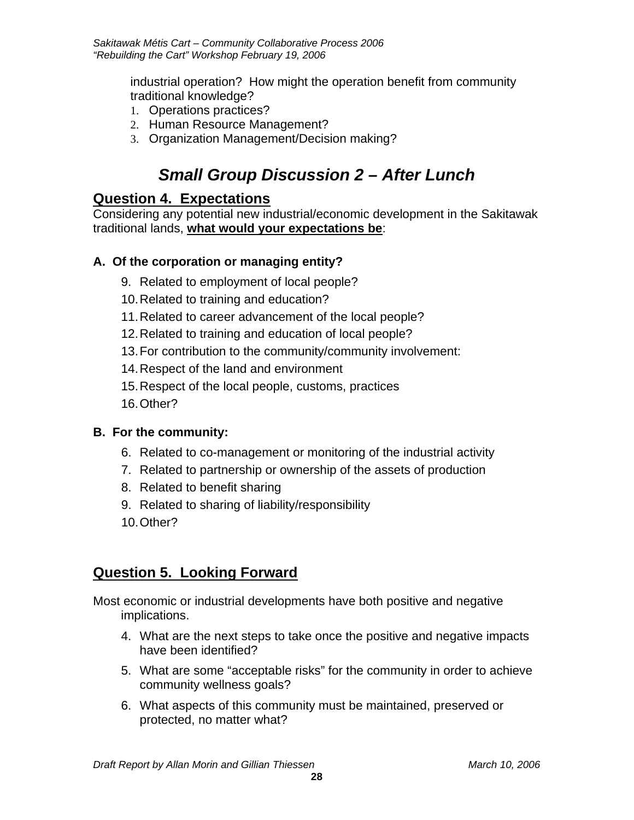industrial operation? How might the operation benefit from community traditional knowledge?

- 1. Operations practices?
- 2. Human Resource Management?
- 3. Organization Management/Decision making?

## *Small Group Discussion 2 – After Lunch*

### **Question 4. Expectations**

Considering any potential new industrial/economic development in the Sakitawak traditional lands, **what would your expectations be**:

#### **A. Of the corporation or managing entity?**

- 9. Related to employment of local people?
- 10. Related to training and education?
- 11. Related to career advancement of the local people?
- 12. Related to training and education of local people?
- 13. For contribution to the community/community involvement:
- 14. Respect of the land and environment
- 15. Respect of the local people, customs, practices
- 16. Other?

#### **B. For the community:**

- 6. Related to co-management or monitoring of the industrial activity
- 7. Related to partnership or ownership of the assets of production
- 8. Related to benefit sharing
- 9. Related to sharing of liability/responsibility
- 10. Other?

## **Question 5. Looking Forward**

Most economic or industrial developments have both positive and negative implications.

- 4. What are the next steps to take once the positive and negative impacts have been identified?
- 5. What are some "acceptable risks" for the community in order to achieve community wellness goals?
- 6. What aspects of this community must be maintained, preserved or protected, no matter what?